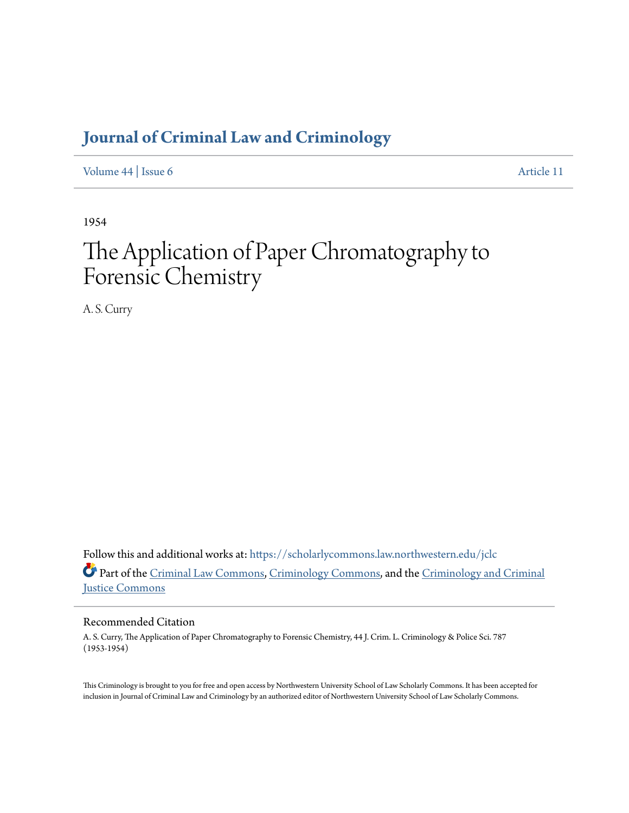# **[Journal of Criminal Law and Criminology](https://scholarlycommons.law.northwestern.edu/jclc?utm_source=scholarlycommons.law.northwestern.edu%2Fjclc%2Fvol44%2Fiss6%2F11&utm_medium=PDF&utm_campaign=PDFCoverPages)**

[Volume 44](https://scholarlycommons.law.northwestern.edu/jclc/vol44?utm_source=scholarlycommons.law.northwestern.edu%2Fjclc%2Fvol44%2Fiss6%2F11&utm_medium=PDF&utm_campaign=PDFCoverPages) | [Issue 6](https://scholarlycommons.law.northwestern.edu/jclc/vol44/iss6?utm_source=scholarlycommons.law.northwestern.edu%2Fjclc%2Fvol44%2Fiss6%2F11&utm_medium=PDF&utm_campaign=PDFCoverPages) [Article 11](https://scholarlycommons.law.northwestern.edu/jclc/vol44/iss6/11?utm_source=scholarlycommons.law.northwestern.edu%2Fjclc%2Fvol44%2Fiss6%2F11&utm_medium=PDF&utm_campaign=PDFCoverPages)

1954

# The Application of Paper Chromatography to Forensic Chemistry

A. S. Curry

Follow this and additional works at: [https://scholarlycommons.law.northwestern.edu/jclc](https://scholarlycommons.law.northwestern.edu/jclc?utm_source=scholarlycommons.law.northwestern.edu%2Fjclc%2Fvol44%2Fiss6%2F11&utm_medium=PDF&utm_campaign=PDFCoverPages) Part of the [Criminal Law Commons](http://network.bepress.com/hgg/discipline/912?utm_source=scholarlycommons.law.northwestern.edu%2Fjclc%2Fvol44%2Fiss6%2F11&utm_medium=PDF&utm_campaign=PDFCoverPages), [Criminology Commons](http://network.bepress.com/hgg/discipline/417?utm_source=scholarlycommons.law.northwestern.edu%2Fjclc%2Fvol44%2Fiss6%2F11&utm_medium=PDF&utm_campaign=PDFCoverPages), and the [Criminology and Criminal](http://network.bepress.com/hgg/discipline/367?utm_source=scholarlycommons.law.northwestern.edu%2Fjclc%2Fvol44%2Fiss6%2F11&utm_medium=PDF&utm_campaign=PDFCoverPages) [Justice Commons](http://network.bepress.com/hgg/discipline/367?utm_source=scholarlycommons.law.northwestern.edu%2Fjclc%2Fvol44%2Fiss6%2F11&utm_medium=PDF&utm_campaign=PDFCoverPages)

Recommended Citation

A. S. Curry, The Application of Paper Chromatography to Forensic Chemistry, 44 J. Crim. L. Criminology & Police Sci. 787 (1953-1954)

This Criminology is brought to you for free and open access by Northwestern University School of Law Scholarly Commons. It has been accepted for inclusion in Journal of Criminal Law and Criminology by an authorized editor of Northwestern University School of Law Scholarly Commons.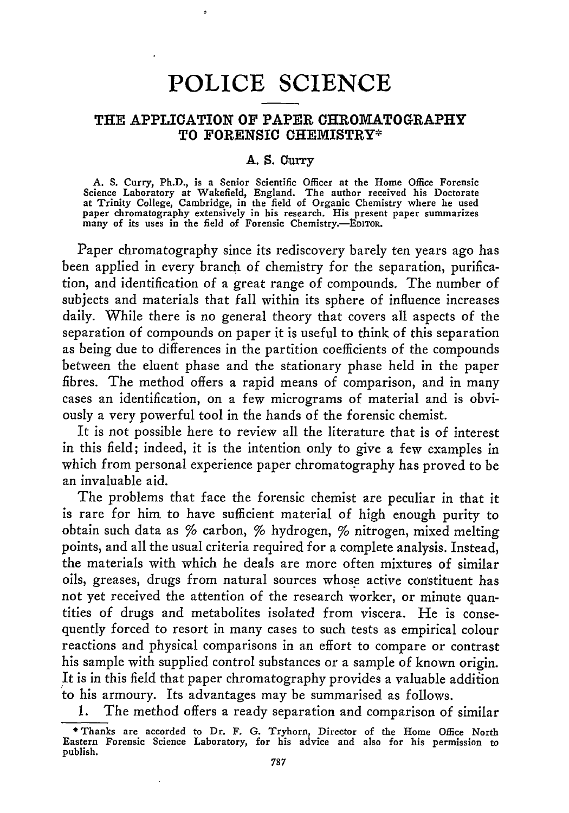## **POLICE SCIENCE**

## **THE APPLICATION OF PAPER CHROMATOGRAPHY TO FORENSIC CHEMISTRY\***

#### **A. S.** Curry

**A. S. Curry, Ph.D.,** is **a Senior Scientific** Officer **at the Home** Office **Forensic** Science Laboratory at Wakefield, England. The author received his Doctorate at Trinity College, Cambridge, in **the field of** Organic Chemistry where **he** used paper chromatography extensively **in** his research. **His** present paper summarizes many of **its** uses **in** the **field** of Forensic Chemistry.-EnITOR.

Paper chromatography since its rediscovery barely ten years ago has been applied in every branch of chemistry for the separation, purification, and identification of a great range of compounds. The number of subjects and materials that fall within its sphere of influence increases daily. While there is no general theory that covers all aspects of the separation of compounds on paper it is useful to think of this separation as being due to differences in the partition coefficients of the compounds between the eluent phase and the stationary phase held in the paper fibres. The method offers a rapid means of comparison, and in many cases an identification, on a few micrograms of material and is obviously a very powerful tool in the hands of the forensic chemist.

It is not possible here to review all the literature that is of interest in this field; indeed, it is the intention only to give a few examples in which from personal experience paper chromatography has proved to be an invaluable aid.

The problems that face the forensic chemist are peculiar in that it is rare for him to have sufficient material of high enough purity to obtain such data as **%** carbon, **%** hydrogen, **%** nitrogen, mixed melting points, and all the usual criteria required for a complete analysis. Instead, the materials with which he deals are more often mixtures of similar oils, greases, drugs from natural sources whose active constituent has not yet received the attention of the research worker, or minute quantities of drugs and metabolites isolated from viscera. He is consequently forced to resort in many cases to such tests as empirical colour reactions and physical comparisons in an effort to compare or contrast his sample with supplied control substances or a sample of known origin. It is in this field that paper chromatography provides a valuable addition to his armoury. Its advantages may be summarised as follows.

1. The method offers a ready separation and comparison of similar

<sup>\*</sup>Thanks are accorded to Dr. F. **G.** Tryhorn, Director of the Home Office **North** Eastern Forensic Science Laboratory, for his **advice** and also for **his** permission **to** publish.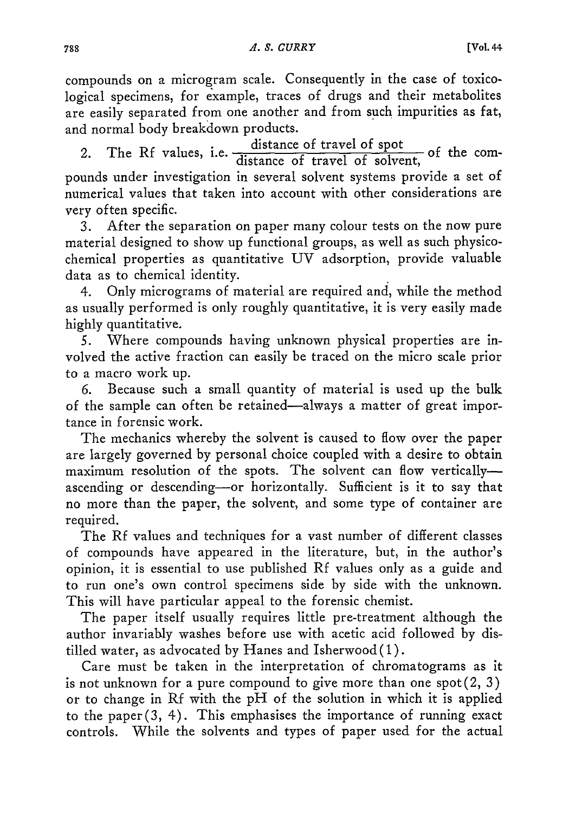compounds on a microgram scale. Consequently in the case of toxicological specimens, for example, traces of drugs and their metabolites are easily separated from one another and from such impurities as fat, and normal body breakdown products.

2. The Rf values, i.e., distance of travel of spot  $\overline{C}$  of the comdistance of travel of solvent, pounds under investigation in several solvent systems provide a set of numerical values that taken into account with other considerations are very often specific.

3. After the separation on paper many colour tests on the now pure material designed to show up functional groups, as well as such physicochemical properties as quantitative UV adsorption, provide valuable data as to chemical identity.

4. Only micrograms of material are required and, while the method as usually performed is only roughly quantitative, it is very easily made highly quantitative.

**S.** Where compounds having unknown physical properties are involved the active fraction can easily be traced on the micro scale prior to a macro work up.

6. Because such a small quantity of material is used up the bulk of the sample can often be retained-always a matter of great importance in forensic work.

The mechanics whereby the solvent is caused to flow over the paper are largely governed by personal choice coupled with a desire to obtain maximum resolution of the spots. The solvent can flow verticallyascending or descending—or horizontally. Sufficient is it to say that no more than the paper, the solvent, and some type of container are required.

The Rf values and techniques for a vast number of different classes of compounds have appeared in the literature, but, in the author's opinion, it is essential to use published Rf values only as a guide and to run one's own control specimens side by side with the unknown. This will have particular appeal to the forensic chemist.

The paper itself usually requires little pre-treatment although the author invariably washes before use with acetic acid followed by distilled water, as advocated by Hanes and Isherwood ( **1** ).

Care must be taken in the interpretation of chromatograms as it is not unknown for a pure compound to give more than one spot $(2, 3)$ or to change in Rf with the pH of the solution in which it is applied to the paper $(3, 4)$ . This emphasises the importance of running exact controls. While the solvents and types of paper used for the actual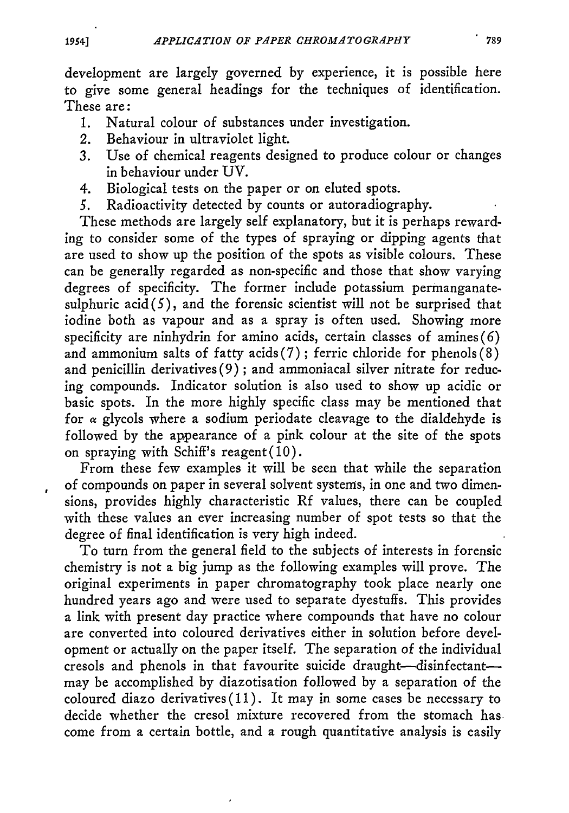development are largely governed by experience, it is possible here to give some general headings for the techniques of identification. These are:

- **1.** Natural colour of substances under investigation.
- 2. Behaviour in ultraviolet light.
- 3. Use of chemical reagents designed to produce colour or changes in behaviour under UV.
- 4. Biological tests on the paper or on eluted spots.
- 5. Radioactivity detected by counts or autoradiography.

These methods are largely self explanatory, but it is perhaps rewarding to consider some of the types of spraying or dipping agents that are used to show up the position of the spots as visible colours. These can be generally regarded as non-specific and those that show varying degrees of specificity. The former include potassium permanganatesulphuric  $\alpha$ cid(5), and the forensic scientist will not be surprised that iodine both as vapour and as a spray is often used. Showing more specificity are ninhydrin for amino acids, certain classes of amines(6) and ammonium salts of fatty acids (7); ferric chloride for phenols  $(8)$ and penicillin derivatives(9) ; and ammoniacal silver nitrate for reducing compounds. Indicator solution is also used to show up acidic or basic spots. In the more highly specific class may be mentioned that for  $\alpha$  glycols where a sodium periodate cleavage to the dialdehyde is followed by the appearance of a pink colour at the site of the spots on spraying with Schiff's reagent  $(10)$ .

From these few examples it will be seen that while the separation of compounds on paper in several solvent systems, in one and two dimensions, provides highly characteristic Rf values, there can be coupled with these values an ever increasing number of spot tests so that the degree of final identification is very high indeed.

To turn from the general field to the subjects of interests in forensic chemistry is not a big jump as the following examples will prove. The original experiments in paper chromatography took place nearly one hundred years ago and were used to separate dyestuffs. This provides a link with present day practice where compounds that have no colour are converted into coloured derivatives either in solution before development or actually on the paper itself. The separation of the individual cresols and phenols in that favourite suicide draught-disinfectantmay be accomplished by diazotisation followed by a separation of the coloured diazo derivatives (11). It may in some cases be necessary to decide whether the cresol mixture recovered from the stomach has, come from a certain bottle, and a rough quantitative analysis is easily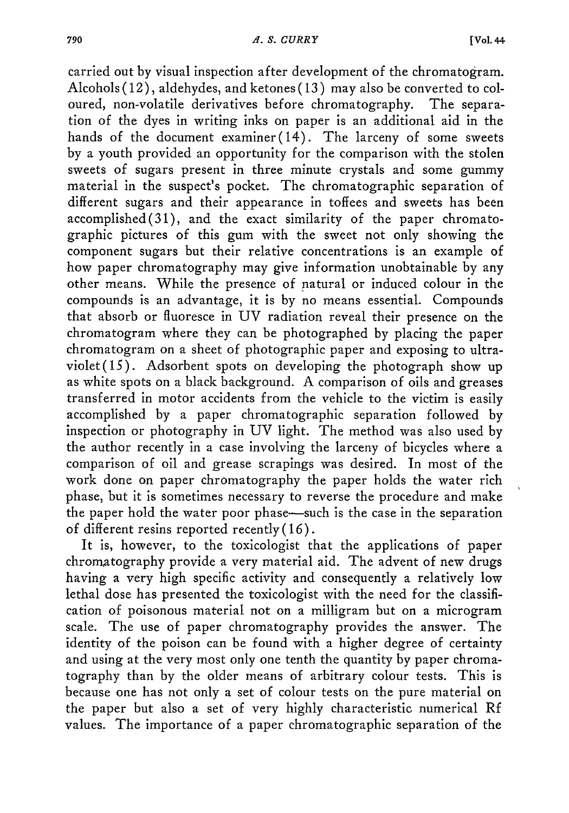carried out by visual inspection after development of the chromatogram. Alcohols (12), aldehydes, and ketones ( 13 ) may also be converted to coloured, non-volatile derivatives before chromatography. The separation of the dyes in writing inks on paper is an additional aid in the hands of the document examiner(14). The larceny of some sweets **by** a youth provided an opportunity for the comparison with the stolen sweets of sugars present in three minute crystals and some gummy material in the suspect's pocket. The chromatographic separation of different sugars and their appearance in toffees and sweets has been accomplished $(31)$ , and the exact similarity of the paper chromatographic pictures of this gum with the sweet not only showing the component sugars but their relative concentrations is an example of how paper chromatography may give information unobtainable **by** any other means. While the presence of natural or induced colour in the compounds is an advantage, it is **by** no means essential. Compounds that absorb or fluoresce in UV radiation reveal their presence on the chromatogram where they can be photographed **by** placing the paper chromatogram on a sheet of photographic paper and exposing to ultraviolet(15). Adsorbent spots on developing the photograph show up as white spots on a black background. A comparison of oils and greases transferred in motor accidents from the vehicle to the victim is easily accomplished **by** a paper chromatographic separation followed by inspection or photography in UV light. The method was also used **by** the author recently in a case involving the larceny of bicycles where a comparison of oil and grease scrapings was desired. In most of the work done on paper chromatography the paper holds the water rich phase, but it is sometimes necessary to reverse the procedure and make the paper hold the water poor phase—such is the case in the separation of different resins reported recently (16).

It is, however, to the toxicologist that the applications of paper chromatography provide a very material aid. The advent of new drugs having a very high specific activity and consequently a relatively low lethal dose has presented the toxicologist with the need for the classification of poisonous material not on a milligram but on a microgram scale. The use of paper chromatography provides the answer. The identity of the poison can be found with a higher degree of certainty and using at the very most only one tenth the quantity by paper chromatography than **by** the older means of arbitrary colour tests. This is because one has not only a set of colour tests on the pure material on the paper but also a set of very highly characteristic numerical Rf values. The importance of a paper chromatographic separation of the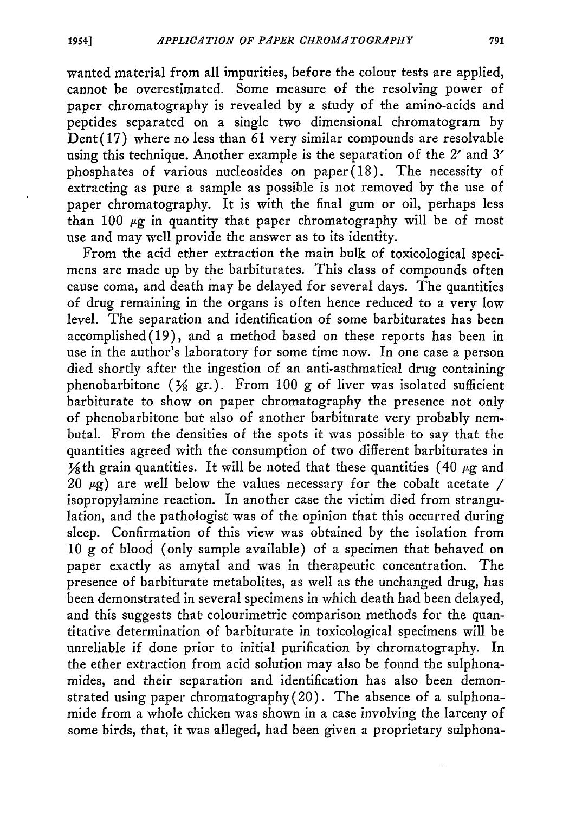wanted material from all impurities, before the colour tests are applied, cannot be overestimated. Some measure of the resolving power of paper chromatography is revealed by a study of the amino-acids and peptides separated on a single two dimensional chromatogram by Dent(17) where no less than 61 very similar compounds are resolvable using this technique. Another example is the separation of the 2' and 3' phosphates of various nucleosides on paper(18). The necessity of extracting as pure a sample as possible is not removed by the use of paper chromatography. It is with the final gum or oil, perhaps less than 100  $\mu$ g in quantity that paper chromatography will be of most use and may well provide the answer as to its identity.

From the acid ether extraction the main bulk of toxicological specimens are made up by the barbiturates. This class of compounds often cause coma, and death may be delayed for several days. The quantities of drug remaining in the organs is often hence reduced to a very low level. The separation and identification of some barbiturates has been accomplished $(19)$ , and a method based on these reports has been in use in the author's laboratory for some time now. In one case a person died shortly after the ingestion of an anti-asthmatical drug containing phenobarbitone (1/8 gr.). From 100 g of liver was isolated sufficient barbiturate to show on paper chromatography the presence not only of phenobarbitone but also of another barbiturate very probably nembutal. From the densities of the spots it was possible to say that the quantities agreed with the consumption of two different barbiturates in  $\frac{1}{8}$ th grain quantities. It will be noted that these quantities (40  $\mu$ g and 20  $\mu$ g) are well below the values necessary for the cobalt acetate / isopropylamine reaction. In another case the victim died from strangulation, and the pathologist was of the opinion that this occurred during sleep. Confirmation of this view was obtained by the isolation from 10 g of blood (only sample available) of a specimen that behaved on paper exactly as amytal and was in therapeutic concentration. The presence of barbiturate metabolites, as well as the unchanged drug, has been demonstrated in several specimens in which death had been delayed, and this suggests that colourimetric comparison methods for the quantitative determination of barbiturate in toxicological specimens will be unreliable if done prior to initial purification by chromatography. In the ether extraction from acid solution may also be found the sulphonamides, and their separation and identification has also been demonstrated using paper chromatography (20). The absence of a sulphonamide from a whole chicken was shown in a case involving the larceny of some birds, that, it was alleged, had been given a proprietary sulphona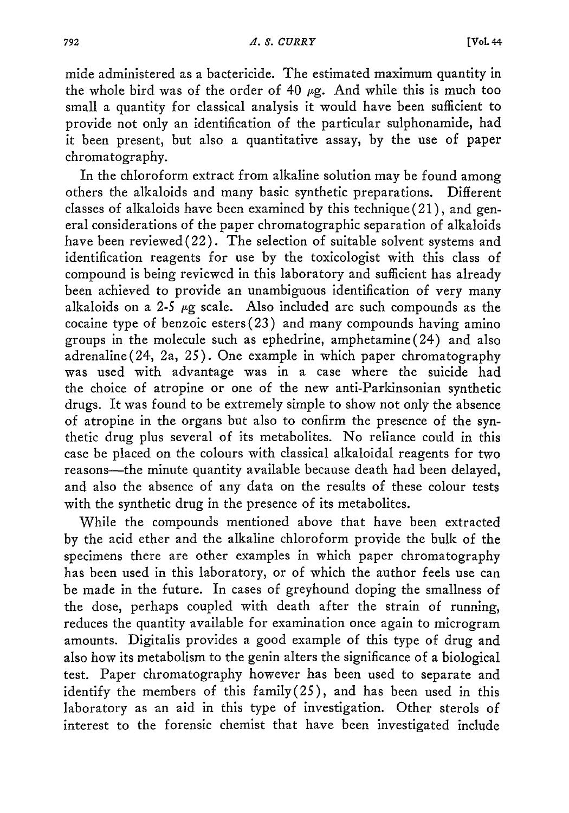mide administered as a bactericide. The estimated maximum quantity in the whole bird was of the order of 40  $\mu$ g. And while this is much too small a quantity for classical analysis it would have been sufficient to provide not only an identification of the particular sulphonamide, had it been present, but also a quantitative assay, by the use of paper chromatography.

In the chloroform extract from alkaline solution may be found among others the alkaloids and many basic synthetic preparations. Different classes of alkaloids have been examined by this technique **(21** ), and general considerations of the paper chromatographic separation of alkaloids have been reviewed (22). The selection of suitable solvent systems and identification reagents for use by the toxicologist with this class of compound is being reviewed in this laboratory and sufficient has already been achieved to provide an unambiguous identification of very many alkaloids on a  $2-5$   $\mu$ g scale. Also included are such compounds as the cocaine type of benzoic esters(23) and many compounds having amino groups in the molecule such as ephedrine, amphetamine(24) and also adrenaline(24, 2a, 25). One example in which paper chromatography was used with advantage was in a case where the suicide had the choice of atropine or one of the new anti-Parkinsonian synthetic drugs. It was found to be extremely simple to show not only the absence of atropine in the organs but also to confirm the presence of the synthetic drug plus several of its metabolites. No reliance could in this case be placed on the colours with classical alkaloidal reagents for two reasons-the minute quantity available because death had been delayed, and also the absence of any data on the results of these colour tests with the synthetic drug in the presence of its metabolites.

While the compounds mentioned above that have been extracted by the acid ether and the alkaline chloroform provide the bulk of the specimens there are other examples in which paper chromatography has been used in this laboratory, or of which the author feels use can be made in the future. In cases of greyhound doping the smallness of the dose, perhaps coupled with death after the strain of running, reduces the quantity available for examination once again to microgram amounts. Digitalis provides a good example of this type of drug and also how its metabolism to the genin alters the significance of a biological test. Paper chromatography however has been used to separate and identify the members of this family(25), and has been used in this laboratory as an aid in this type of investigation. Other sterols of interest to the forensic chemist that have been investigated include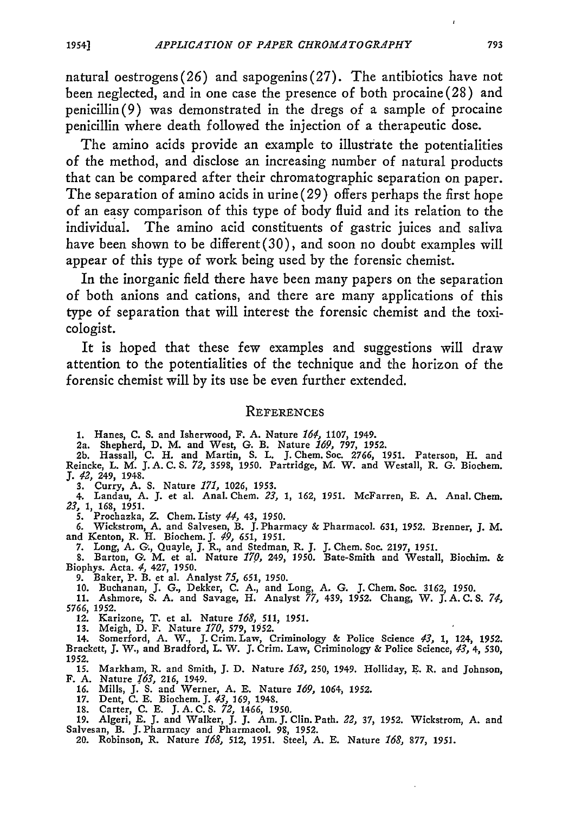natural oestrogens (26) and sapogenins (27). The antibiotics have not been neglected, and in one case the presence of both procaine(28) and penicillin(9) was demonstrated in the dregs of a sample of procaine penicillin where death followed the injection of a therapeutic dose.

The amino acids provide an example to illustrate the potentialities of the method, and disclose an increasing number of natural products that can be compared after their chromatographic separation on paper. The separation of amino acids in urine (29) offers perhaps the first hope of an easy comparison of this type of body fluid and its relation to the individual. The amino acid constituents of gastric juices and saliva have been shown to be different(30), and soon no doubt examples will appear of this type of work being used by the forensic chemist.

In the inorganic field there have been many papers on the separation of both anions and cations, and there are many applications of this type of separation that will interest the forensic chemist and the toxicologist.

It is hoped that these few examples and suggestions will draw attention to the potentialities of the technique and the horizon of the forensic chemist will by its use be even further extended.

### **REFERENCES**

1. Hanes, C. S. and Isherwood, F. A. Nature *164,* 1107, 1949.

2a. Shepherd, **D.** M. and West, **G.** B. Nature *169,* **797, 1952.**

2b. Hassall, C. H. and Martin, S. L. J. Chem. Soc. 2766, 1951. Paterson, H. and<br>Reincke, L. M. J. A. C. S. 72, 3598, 1950. Partridge, M. W. and Westall, R. G. Biochem *3. 42,* 249, **1948.**

**3.** Curry, **A. S.** Nature *171,* **1026, 1953.** 4. Landau, **A. J.** et al. Anal. Chem. *23,* **1, 162, 1951.** McFarren, **E. A.** Anal. Chem. *23, 1,* **168, 1951.** *5.* Prochazka, Z. Chem. Listy *44,* 43, 1950.

6. Wickstrom, A. and Salvesen, B. **J.** Pharmacy & Pharmacol. 631, 1952. Brenner, **J.** M. and Kenton, R. H. Biochem. J. *49,* 651, 1951.

7. Long, A. **G.,** Quayle, J. R., and Stedman, R. **J. J.** Chem. Soc. 2197, 1951. 8. Barton, *G.* M. et al. Nature *170,* 249, 1950. Bate-Smith and Westall, Biochim. & Biophys. Acta. 4, 427, 1950.

9. Baker, P. B. et al. Analyst *75, 651, 1950.*

10. Buchanan, 3. G., Dekker, C. A., and Long, A. G. **J.** Chem. Soc. 3162, 1950. 11. Ashmore, S. A. and Savage, H. Analyst *77,* 439, 1952. Chang, W. **J.** A. C.S. *74,*

*5766,* 1952.

12. Karizone, T. et al. Nature *168, 511, 1951.* **13.** Meigh, **D.** F. Nature *170,* 579, 1952.

14. Somerford, A. W., *J.* Crim. Law, Criminology & Police Science *43, 1,* 124, 1952. Brackett, **J.** W., and Bradford, L. W. **J.** Crim. Law, Criminology & Police Science, *43, 4,* **530,** 1952.

15. Markham, R. and Smith, **J. D.** Nature *163,* 250, 1949. Holliday, **E.** R. and Johnson, F. A. Nature *163,* 216, 1949.

*16.* Mills, **J. S.** and Werner, A. E. Nature *169,* 1064, 1952. 17. Dent, C. E. Biochem. *J. 43,* 169, 1948.

18. Carter, C. E. J. A. C. S. 72, 1466, 1950.<br>19. Algeri, E. J. and Walker, J. J. Am. J. Clin. Path. 22, 37, 1952. Wickstrom, A. and<br>Salvesan, B. J. Pharmacy and Pharmacol. 98, 1952.

20. Robinson, R. Nature *168,* 512, 1951. Steel, A. **E.** Nature *168, 877,* 1951.

793